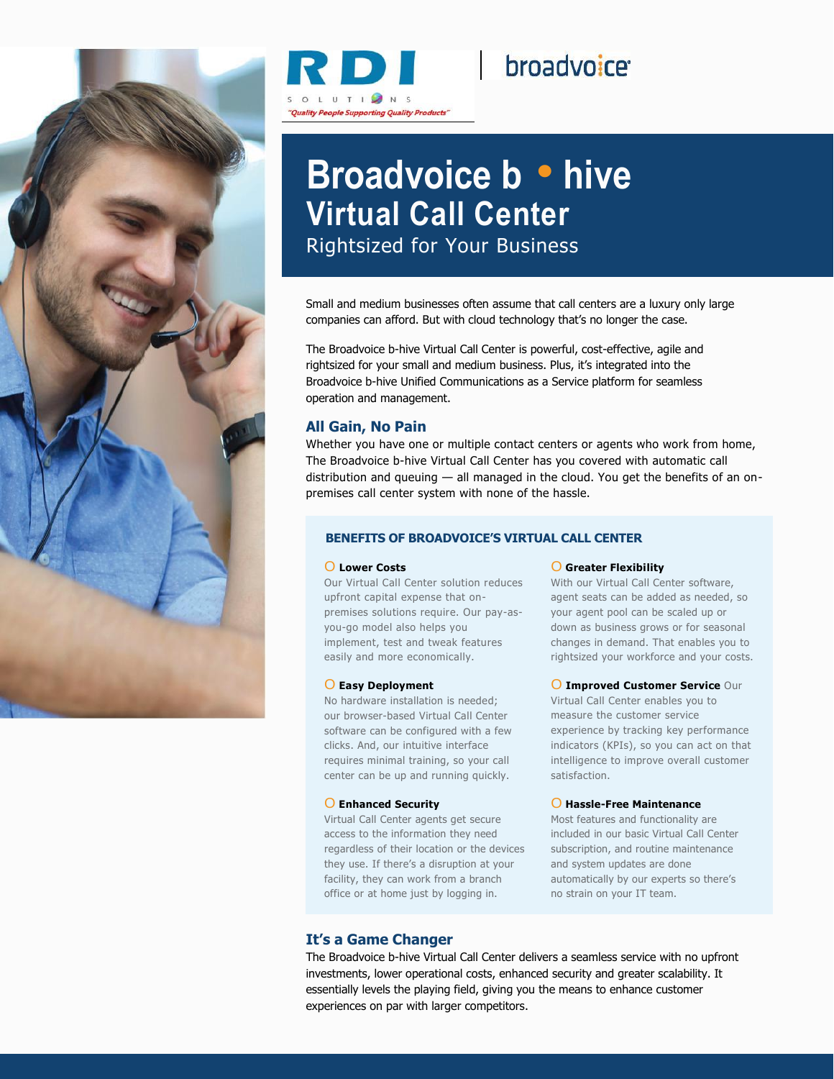



# broadvoice<sup>®</sup>

# **Broadvoice b** • **hive Virtual Call Center** Rightsized for Your Business

Small and medium businesses often assume that call centers are a luxury only large companies can afford. But with cloud technology that's no longer the case.

The Broadvoice b-hive Virtual Call Center is powerful, cost-effective, agile and rightsized for your small and medium business. Plus, it's integrated into the Broadvoice b-hive Unified Communications as a Service platform for seamless operation and management.

## **All Gain, No Pain**

Whether you have one or multiple contact centers or agents who work from home, The Broadvoice b-hive Virtual Call Center has you covered with automatic call distribution and queuing — all managed in the cloud. You get the benefits of an onpremises call center system with none of the hassle.

## **BENEFITS OF BROADVOICE'S VIRTUAL CALL CENTER**

#### O **Lower Costs**

Our Virtual Call Center solution reduces upfront capital expense that onpremises solutions require. Our pay-asyou-go model also helps you implement, test and tweak features easily and more economically.

#### O **Easy Deployment**

No hardware installation is needed; our browser-based Virtual Call Center software can be configured with a few clicks. And, our intuitive interface requires minimal training, so your call center can be up and running quickly.

#### O **Enhanced Security**

Virtual Call Center agents get secure access to the information they need regardless of their location or the devices they use. If there's a disruption at your facility, they can work from a branch office or at home just by logging in.

### O **Greater Flexibility**

With our Virtual Call Center software, agent seats can be added as needed, so your agent pool can be scaled up or down as business grows or for seasonal changes in demand. That enables you to rightsized your workforce and your costs.

#### O **Improved Customer Service** Our

Virtual Call Center enables you to measure the customer service experience by tracking key performance indicators (KPIs), so you can act on that intelligence to improve overall customer satisfaction.

#### O **Hassle-Free Maintenance**

Most features and functionality are included in our basic Virtual Call Center subscription, and routine maintenance and system updates are done automatically by our experts so there's no strain on your IT team.

### **It's a Game Changer**

The Broadvoice b-hive Virtual Call Center delivers a seamless service with no upfront investments, lower operational costs, enhanced security and greater scalability. It essentially levels the playing field, giving you the means to enhance customer experiences on par with larger competitors.